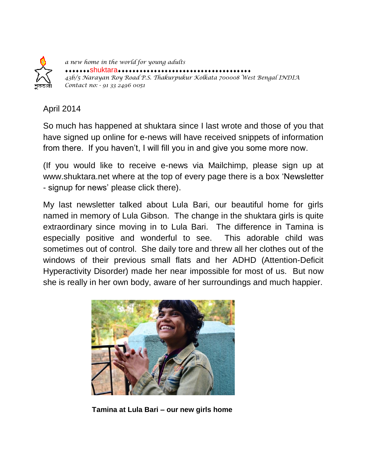

*a new home in the world for young adults* \*\*\*Shuktara\*\*\*\*\*\*\*\*\*\*\*\*\*\*\* *43b/5 Narayan Roy Road P.S. Thakurpukur Kolkata 700008 West Bengal INDIA Contact no: - 91 33 2496 0051* 

## April 2014

So much has happened at shuktara since I last wrote and those of you that have signed up online for e-news will have received snippets of information from there. If you haven't, I will fill you in and give you some more now.

(If you would like to receive e-news via Mailchimp, please sign up at www.shuktara.net where at the top of every page there is a box "Newsletter - signup for news" please click there).

My last newsletter talked about Lula Bari, our beautiful home for girls named in memory of Lula Gibson. The change in the shuktara girls is quite extraordinary since moving in to Lula Bari. The difference in Tamina is especially positive and wonderful to see. This adorable child was sometimes out of control. She daily tore and threw all her clothes out of the windows of their previous small flats and her ADHD (Attention-Deficit Hyperactivity Disorder) made her near impossible for most of us. But now she is really in her own body, aware of her surroundings and much happier.



**Tamina at Lula Bari – our new girls home**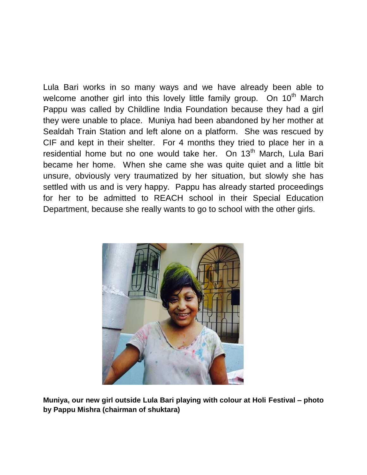Lula Bari works in so many ways and we have already been able to welcome another girl into this lovely little family group. On 10<sup>th</sup> March Pappu was called by Childline India Foundation because they had a girl they were unable to place. Muniya had been abandoned by her mother at Sealdah Train Station and left alone on a platform. She was rescued by CIF and kept in their shelter. For 4 months they tried to place her in a residential home but no one would take her. On 13<sup>th</sup> March, Lula Bari became her home. When she came she was quite quiet and a little bit unsure, obviously very traumatized by her situation, but slowly she has settled with us and is very happy. Pappu has already started proceedings for her to be admitted to REACH school in their Special Education Department, because she really wants to go to school with the other girls.



**Muniya, our new girl outside Lula Bari playing with colour at Holi Festival – photo by Pappu Mishra (chairman of shuktara)**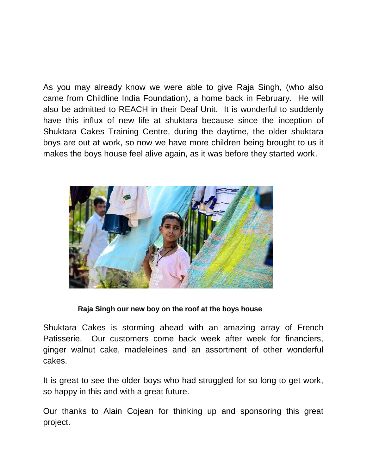As you may already know we were able to give Raja Singh, (who also came from Childline India Foundation), a home back in February. He will also be admitted to REACH in their Deaf Unit. It is wonderful to suddenly have this influx of new life at shuktara because since the inception of Shuktara Cakes Training Centre, during the daytime, the older shuktara boys are out at work, so now we have more children being brought to us it makes the boys house feel alive again, as it was before they started work.



## **Raja Singh our new boy on the roof at the boys house**

Shuktara Cakes is storming ahead with an amazing array of French Patisserie. Our customers come back week after week for financiers, ginger walnut cake, madeleines and an assortment of other wonderful cakes.

It is great to see the older boys who had struggled for so long to get work, so happy in this and with a great future.

Our thanks to Alain Cojean for thinking up and sponsoring this great project.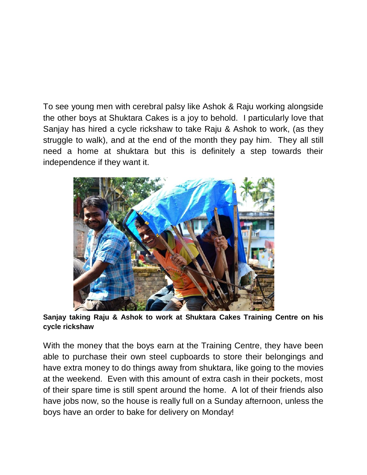To see young men with cerebral palsy like Ashok & Raju working alongside the other boys at Shuktara Cakes is a joy to behold. I particularly love that Sanjay has hired a cycle rickshaw to take Raju & Ashok to work, (as they struggle to walk), and at the end of the month they pay him. They all still need a home at shuktara but this is definitely a step towards their independence if they want it.



**Sanjay taking Raju & Ashok to work at Shuktara Cakes Training Centre on his cycle rickshaw**

With the money that the boys earn at the Training Centre, they have been able to purchase their own steel cupboards to store their belongings and have extra money to do things away from shuktara, like going to the movies at the weekend. Even with this amount of extra cash in their pockets, most of their spare time is still spent around the home. A lot of their friends also have jobs now, so the house is really full on a Sunday afternoon, unless the boys have an order to bake for delivery on Monday!